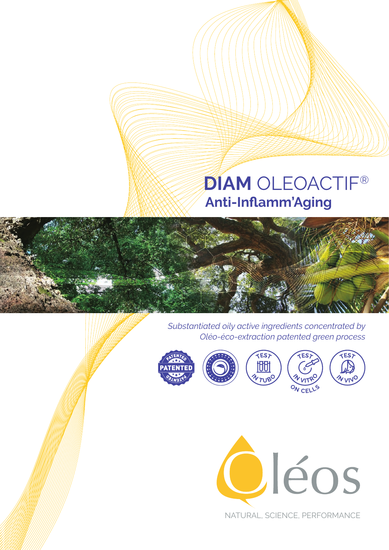# **Anti-Inflamm'Aging DIAM** OLEOACTIF®



*Substantiated oily active ingredients concentrated by Oléo-éco-extraction patented green process*





NATURAL, SCIENCE, PERFORMANCE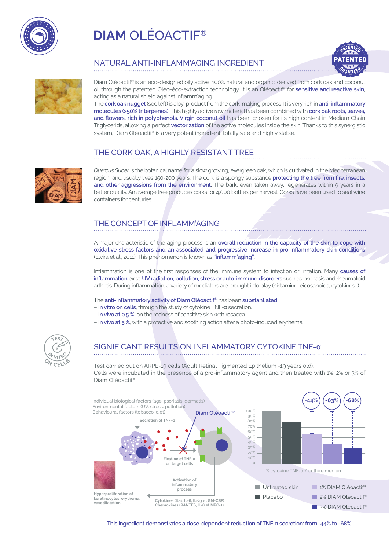

# **DIAM** OLÉOACTIF®





Ì

### NATURAL ANTI-INFLAMM'AGING INGREDIENT

Diam Oléoactif® is an eco-designed oily active, 100% natural and organic, derived from cork oak and coconut oil through the patented Oléo-éco-extraction technology. It is an Oléoactif® for **sensitive and reactive skin**, acting as a natural shield against inflamm'aging.

The **cork oak nugget** (see left) is a by-product from the cork-making process. It is very rich in **anti-inflammatory molecules (>50% triterpenes)**. This highly active raw material has been combined with **cork oak roots, leaves, and flowers, rich in polyphenols. Virgin coconut oil** has been chosen for its high content in Medium Chain Triglycerids, allowing a perfect **vectorization** of the active molecules inside the skin. Thanks to this synergistic system, Diam Oléoactif® is a very potent ingredient, totally safe and highly stable.

# THE CORK OAK, A HIGHLY RESISTANT TREE



*Quercus Suber* is the botanical name for a slow growing, evergreen oak, which is cultivated in the Mediterranean region, and usually lives 150-200 years. The cork is a spongy substance **protecting the tree from fire, insects,**  and other aggressions from the environment. The bark, even taken away, regenerates within 9 years in a better quality. An average tree produces corks for 4,000 bottles per harvest. Corks have been used to seal wine containers for centuries.

# THE CONCEPT OF INFLAMM'AGING

A major characteristic of the aging process is an **overall reduction in the capacity of the skin to cope with oxidative stress factors and an associated and progressive increase in pro-inflammatory skin conditions** (Elvira et al., 2011). This phenomenon is known as **"inflamm'aging"**.

Inflammation is one of the first responses of the immune system to infection or irritation. Many **causes of inflammation** exist: **UV radiation, pollution, stress or auto-immune disorders** such as psoriasis and rheumatoid arthritis. During inflammation, a variety of mediators are brought into play (histamine, eicosanoids, cytokines...).

The **anti-inflammatory activity of Diam Oléoactif®** has been **substantiated**:

- **In vitro on cells**, through the study of cytokine TNF-α secretion.
- **In vivo at 0.5 %**, on the redness of sensitive skin with rosacea.
- **In vivo at 5 %**, with a protective and soothing action after a photo-induced erythema.



# SIGNIFICANT RESULTS ON INFLAMMATORY CYTOKINE TNF-α

 Cells were incubated in the presence of a pro-inflammatory agent and then treated with 1%, 2% or 3% of Test carried out on ARPE-19 cells (Adult Retinal Pigmented Epithelium -19 years old). Diam Oléoactif®.



**This ingredient demonstrates a dose-dependent reduction of TNF**-α **secretion: from -44% to -68%.**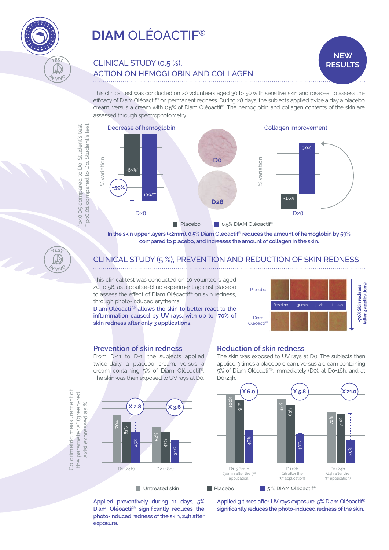

# CLINICAL STUDY (0.5 %), ACTION ON HEMOGLOBIN AND COLLAGEN

 This clinical test was conducted on 20 volunteers aged 30 to 50 with sensitive skin and rosacea, to assess the efficacy of Diam Oléoactif® on permanent redness. During 28 days, the subjects applied twice a day a placebo cream, versus a cream with 0.5% of Diam Oléoactif®. The hemoglobin and collagen contents of the skin are assessed through spectrophotometry.



**In the skin upper layers (<2mm), 0.5% Diam Oléoactif® reduces the amount of hemoglobin by 59% compared to placebo, and increases the amount of collagen in the skin.**

# CLINICAL STUDY (5 %), PREVENTION AND REDUCTION OF SKIN REDNESS

This clinical test was conducted on 10 volunteers aged 20 to 56, as a double-blind experiment against placebo to assess the effect of Diam Oléoactif® on skin redness, through photo-induced erythema.

**Diam Oléoactif® allows the skin to better react to the inflammation caused by UV rays, with up to -70% of skin redness after only 3 applications.**



**NEW RESULTS**

### **Prevention of skin redness**

From D-11 to D-1, the subjects applied twice-daily a placebo cream, versus a cream containing 5% of Diam Oléoactif®. The skin was then exposed to UV rays at D0.

#### **Reduction of skin redness**

The skin was exposed to UV rays at D0. The subjects then applied 3 times a placebo cream, versus a cream containing 5% of Diam Oléoactif®: immediately (D0), at D0+16h, and at

Colorimetric measurement of Colorimetric measurement of the parameter a\* (green-red the parameter a\* (green-red axis) expressed as % axis) expressed as %

\*p<0.05 compared to Do, Student's test \*\*p<0.01 compared to Do, Student's test

**200.05** compared to Do, Student's test p<0.01 compared to Do, Student's test

 $FE$ 

V<sub>VN</sub>O

 $\widetilde{C}$ 

 $v_{\text{VV}}$ 



**Applied preventively during 11 days, 5% Diam Oléoactif® significantly reduces the photo-induced redness of the skin, 24h after exposure.**



**Applied 3 times after UV rays exposure, 5% Diam Oléoactif® significantly reduces the photo-induced redness of the skin.**